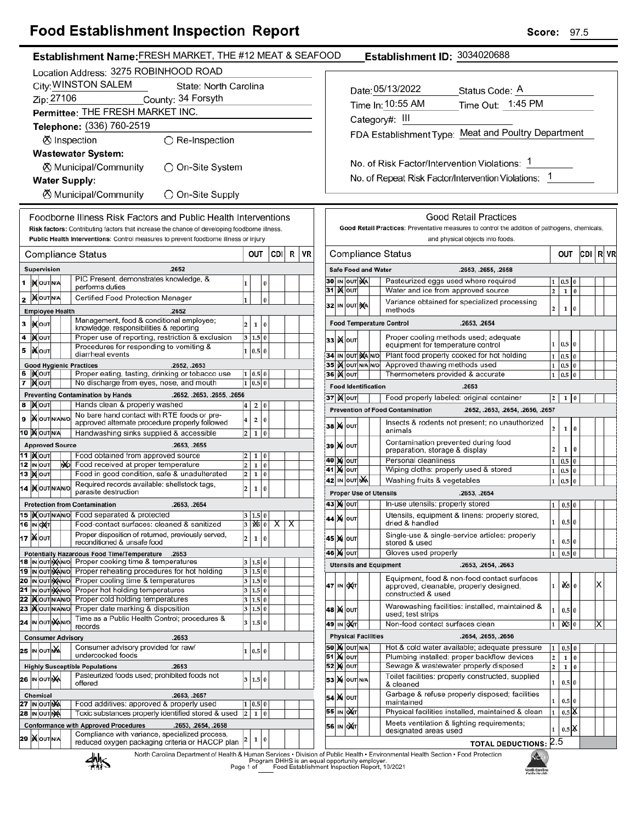## **Food Establishment Inspection Report**

|                                                                                    | Establishment Name: FRESH MARKET, THE #12 MEAT & SEAFOOD                                                             |                         |                          |               |                         |  |                     |                            |                                        | Establishment ID: 3034020688                                                                                |              |                               |          |    |  |
|------------------------------------------------------------------------------------|----------------------------------------------------------------------------------------------------------------------|-------------------------|--------------------------|---------------|-------------------------|--|---------------------|----------------------------|----------------------------------------|-------------------------------------------------------------------------------------------------------------|--------------|-------------------------------|----------|----|--|
|                                                                                    | Location Address: 3275 ROBINHOOD ROAD                                                                                |                         |                          |               |                         |  |                     |                            |                                        |                                                                                                             |              |                               |          |    |  |
| City: WINSTON SALEM<br>State: North Carolina<br>Date: 05/13/2022<br>Status Code: A |                                                                                                                      |                         |                          |               |                         |  |                     |                            |                                        |                                                                                                             |              |                               |          |    |  |
| Zip: 27106<br>County: 34 Forsyth                                                   |                                                                                                                      |                         |                          |               |                         |  |                     |                            | Time Out: 1:45 PM<br>Time In: 10:55 AM |                                                                                                             |              |                               |          |    |  |
| Permittee: THE FRESH MARKET INC.                                                   |                                                                                                                      |                         |                          |               |                         |  |                     |                            |                                        |                                                                                                             |              |                               |          |    |  |
|                                                                                    | Telephone: (336) 760-2519                                                                                            |                         |                          |               |                         |  |                     |                            |                                        | Category#: III                                                                                              |              |                               |          |    |  |
| ⊗ Inspection                                                                       | $\bigcirc$ Re-Inspection                                                                                             |                         |                          |               |                         |  |                     |                            |                                        | FDA Establishment Type: Meat and Poultry Department                                                         |              |                               |          |    |  |
|                                                                                    | <b>Wastewater System:</b>                                                                                            |                         |                          |               |                         |  |                     |                            |                                        |                                                                                                             |              |                               |          |    |  |
|                                                                                    | <b><math>\oslash</math> Municipal/Community</b>                                                                      |                         |                          |               |                         |  |                     |                            |                                        | No. of Risk Factor/Intervention Violations: 1                                                               |              |                               |          |    |  |
|                                                                                    | ◯ On-Site System                                                                                                     |                         |                          |               |                         |  |                     |                            |                                        | No. of Repeat Risk Factor/Intervention Violations: 1                                                        |              |                               |          |    |  |
| <b>Water Supply:</b>                                                               |                                                                                                                      |                         |                          |               |                         |  |                     |                            |                                        |                                                                                                             |              |                               |          |    |  |
|                                                                                    | ⊗ Municipal/Community<br>◯ On-Site Supply                                                                            |                         |                          |               |                         |  |                     |                            |                                        |                                                                                                             |              |                               |          |    |  |
|                                                                                    | Foodborne Illness Risk Factors and Public Health Interventions                                                       |                         |                          |               |                         |  |                     |                            |                                        | <b>Good Retail Practices</b>                                                                                |              |                               |          |    |  |
|                                                                                    | Risk factors: Contributing factors that increase the chance of developing foodborne illness.                         |                         |                          |               |                         |  |                     |                            |                                        | Good Retail Practices: Preventative measures to control the addition of pathogens, chemicals,               |              |                               |          |    |  |
|                                                                                    | Public Health Interventions: Control measures to prevent foodborne illness or injury                                 |                         |                          |               |                         |  |                     |                            |                                        | and physical objects into foods.                                                                            |              |                               |          |    |  |
| <b>Compliance Status</b>                                                           |                                                                                                                      |                         | OUT                      | CDI           | R VR                    |  |                     |                            |                                        | <b>Compliance Status</b>                                                                                    |              | OUT                           | CDI R VF |    |  |
| Supervision                                                                        | .2652                                                                                                                |                         |                          |               |                         |  |                     | <b>Safe Food and Water</b> |                                        | .2653, .2655, .2658                                                                                         |              |                               |          |    |  |
| <b>IN OUT N/A</b>                                                                  | PIC Present, demonstrates knowledge, &                                                                               | 1                       | $\pmb{0}$                |               |                         |  |                     | 30 IN OUT MA               |                                        | Pasteurized eggs used where required                                                                        |              | $1 \ 0.5 \ 0$                 |          |    |  |
|                                                                                    | performs duties                                                                                                      |                         |                          |               |                         |  | 31 X OUT            |                            |                                        | Water and ice from approved source<br>2 <sup>1</sup>                                                        |              | $1\quad0$                     |          |    |  |
| <b>XOUTNA</b>                                                                      | Certified Food Protection Manager                                                                                    |                         | $\bf{0}$                 |               |                         |  |                     | 32 IN OUT NA               |                                        | Variance obtained for specialized processing                                                                |              |                               |          |    |  |
| <b>Employee Health</b>                                                             | .2652                                                                                                                |                         |                          |               |                         |  |                     |                            |                                        | 2 <sup>1</sup><br>methods                                                                                   | $\mathbf{1}$ | $\bf{0}$                      |          |    |  |
| <b>XOUT</b>                                                                        | Management, food & conditional employee;<br>knowledge, responsibilities & reporting                                  | $\overline{\mathbf{2}}$ | $\mathbf{1}$<br>$\bf{0}$ |               |                         |  |                     |                            |                                        | <b>Food Temperature Control</b><br>.2653, .2654                                                             |              |                               |          |    |  |
| 4<br><b>XOUT</b>                                                                   | Proper use of reporting, restriction & exclusion                                                                     |                         | 3   1.5   0              |               |                         |  | 33 K OUT            |                            |                                        | Proper cooling methods used; adequate<br>equipment for temperature control                                  |              | $1 \ 0.5 \ 0$                 |          |    |  |
| <b>XOUT</b>                                                                        | Procedures for responding to vomiting &<br>diarrheal events                                                          |                         | 1   0.5   0              |               |                         |  |                     | 34 IN OUT MANO             |                                        | Plant food properly cooked for hot holding                                                                  |              | $1 \ 0.5 \ 0$                 |          |    |  |
| <b>Good Hygienic Practices</b>                                                     | .2652, .2653                                                                                                         |                         |                          |               |                         |  |                     | 35 IX OUT N/A N/O          |                                        | Approved thawing methods used                                                                               |              | $1 \ 0.5 \ 0$                 |          |    |  |
| <b>IXOUT</b>                                                                       | Proper eating, tasting, drinking or tobacco use                                                                      |                         | 1   0.5   0              |               |                         |  | <b>36   )</b> олт   |                            |                                        | Thermometers provided & accurate                                                                            |              | $1 \vert 0.5 \vert 0$         |          |    |  |
| <b>X</b> OUT                                                                       | No discharge from eyes, nose, and mouth                                                                              |                         | $1 \ 0.5 \ 0$            |               |                         |  |                     | <b>Food Identification</b> |                                        | .2653                                                                                                       |              |                               |          |    |  |
| <b>X</b> оит<br>В                                                                  | <b>Preventing Contamination by Hands</b><br>.2652, .2653, .2655, .2656<br>Hands clean & properly washed              |                         | 2 0                      |               |                         |  | <b>37 ) (</b>   оит |                            |                                        | Food properly labeled: original container                                                                   |              | $2 \mid 1 \mid 0$             |          |    |  |
|                                                                                    | No bare hand contact with RTE foods or pre-                                                                          |                         |                          |               |                         |  |                     |                            |                                        | <b>Prevention of Food Contamination</b><br>.2652, .2653, .2654, .2656, .2657                                |              |                               |          |    |  |
| <b>XOUTNANO</b>                                                                    | approved alternate procedure properly followed                                                                       | $\overline{\mathbf{4}}$ | $\overline{2}$<br>0      |               |                         |  | <b>38 X OUT</b>     |                            |                                        | Insects & rodents not present; no unauthorized<br>2 <sup>1</sup>                                            |              | $1 \mid 0$                    |          |    |  |
| 0 X OUTINA                                                                         | Handwashing sinks supplied & accessible                                                                              | $\overline{2}$          | 1 0                      |               |                         |  |                     |                            |                                        | animals                                                                                                     |              |                               |          |    |  |
| <b>Approved Source</b>                                                             | .2653, .2655                                                                                                         |                         |                          |               |                         |  | <b>39 X OUT</b>     |                            |                                        | Contamination prevented during food<br>2 <sup>1</sup><br>preparation, storage & display                     |              | $1\quad0$                     |          |    |  |
| 1   NOUT<br>2 IN OUT<br>ŊЮ                                                         | Food obtained from approved source<br>Food received at proper temperature                                            | $\overline{\mathbf{c}}$ | 1 0<br>1 0               |               |                         |  | 40 M OUT            |                            |                                        | Personal cleanliness                                                                                        |              | $1 \quad 0.5 \quad 0$         |          |    |  |
| 3 Mour                                                                             | Food in good condition, safe & unadulterated                                                                         | $\overline{\mathbf{c}}$ | 1 0                      |               |                         |  | 41 X OUT            |                            |                                        | Wiping cloths: properly used & stored                                                                       |              | $1 \vert 0.5 \vert 0$         |          |    |  |
| 4  MOUTNANO                                                                        | Required records available: shellstock tags,                                                                         | $\overline{\mathbf{c}}$ | 1 0                      |               |                         |  |                     | 42 IN OUT NA               |                                        | Washing fruits & vegetables                                                                                 | $1 \mid 0.5$ | l 0                           |          |    |  |
|                                                                                    | parasite destruction                                                                                                 |                         |                          |               |                         |  |                     |                            |                                        | <b>Proper Use of Utensils</b><br>.2653, .2654<br>In-use utensils: properly stored                           |              |                               |          |    |  |
| <b>Protection from Contamination</b><br>5   <b>KOUT NANO</b>                       | .2653, .2654<br>Food separated & protected                                                                           |                         | 3   1.5   0              |               |                         |  | 43 Х олт            |                            |                                        | Utensils, equipment & linens: properly stored,                                                              |              | 1   0.5   0                   |          |    |  |
| 6 IN DET                                                                           | Food-contact surfaces: cleaned & sanitized                                                                           | 3                       |                          | <b>1% 0 X</b> | $\overline{\mathsf{x}}$ |  | 44 X   оит          |                            |                                        | dried & handled                                                                                             |              | $1 \ 0.5 \ 0$                 |          |    |  |
| 7 Mout                                                                             | Proper disposition of returned, previously served,                                                                   | $\overline{\mathbf{2}}$ | 1 0                      |               |                         |  | 45   X   ouт        |                            |                                        | Single-use & single-service articles: properly                                                              |              |                               |          |    |  |
|                                                                                    | reconditioned & unsafe food                                                                                          |                         |                          |               |                         |  |                     |                            |                                        | $1\vert$<br>stored & used<br>Gloves used properly                                                           |              | 0.5 0                         |          |    |  |
|                                                                                    | <b>Potentially Hazardous Food Time/Temperature</b><br>.2653<br>8 IN OUT MAIN O Proper cooking time & temperatures    |                         | 3   1.5   0              |               |                         |  | <b>46 M OUT</b>     |                            |                                        | <b>Utensils and Equipment</b><br>.2653, .2654, .2663                                                        |              | $1 \mid 0.5 \mid 0$           |          |    |  |
|                                                                                    | 9 IN OUT WANTO Proper reheating procedures for hot holding                                                           |                         | 3   1.5   0              |               |                         |  |                     |                            |                                        |                                                                                                             |              |                               |          |    |  |
|                                                                                    | 10 In out Mano Proper cooling time & temperatures                                                                    |                         | 3 1.5 0                  |               |                         |  | 47 IN OXT           |                            |                                        | Equipment, food & non-food contact surfaces<br>$1 \mid$<br>approved, cleanable, properly designed,          |              | $\frac{d}{d\pi}$ 0            |          | ΙX |  |
|                                                                                    | 1 In out MANO Proper hot holding temperatures<br>2   Nout NAN O Proper cold holding temperatures                     |                         | 3 1.5 0<br>3   1.5   0   |               |                         |  |                     |                            |                                        | constructed & used                                                                                          |              |                               |          |    |  |
| 3   OUTNANO                                                                        | Proper date marking & disposition                                                                                    |                         | 3   1.5   0              |               |                         |  | <b>48 X о</b> лт    |                            |                                        | Warewashing facilities: installed, maintained &<br>1                                                        |              | 0.5 0                         |          |    |  |
| 4 IN OUT MANO                                                                      | Time as a Public Health Control; procedures &                                                                        |                         | 3   1.5   0              |               |                         |  | 49∣ ін ∣о)(т∣       |                            |                                        | used; test strips<br>Non-food contact surfaces clean<br>$1 \mid$                                            |              | $\frac{1}{2}$ 0               |          | Х  |  |
| <b>Consumer Advisory</b>                                                           | records<br>.2653                                                                                                     |                         |                          |               |                         |  |                     | <b>Physical Facilities</b> |                                        | .2654, .2655, .2656                                                                                         |              |                               |          |    |  |
| 5 IN OUT NA                                                                        | Consumer advisory provided for raw/                                                                                  |                         |                          |               |                         |  |                     | <b>50 X</b> OUT N/A        |                                        | Hot & cold water available; adequate pressure<br>$1\vert$                                                   |              | $0.5 \ 0$                     |          |    |  |
|                                                                                    | undercooked foods                                                                                                    |                         | 1   0.5   0              |               |                         |  | <b>51 X out</b>     |                            |                                        | Plumbing installed; proper backflow devices<br>2 <sup>1</sup>                                               | $\mathbf 1$  | 0                             |          |    |  |
| <b>Highly Susceptible Populations</b>                                              | .2653                                                                                                                |                         |                          |               |                         |  | <b>52 MOUT</b>      |                            |                                        | Sewage & wastewater properly disposed<br>2 <sup>1</sup>                                                     |              | $1\overline{0}$               |          |    |  |
| :6 ∣in out∣nXa                                                                     | Pasteurized foods used; prohibited foods not<br>offered                                                              |                         | 3   1.5   0              |               |                         |  |                     | 53 X OUT N/A               |                                        | Toilet facilities: properly constructed, supplied<br>$1\vert$<br>& cleaned                                  |              | $0.5\vert 0$                  |          |    |  |
| Chemical                                                                           | .2653, .2657                                                                                                         |                         |                          |               |                         |  | 54 X OUT            |                            |                                        | Garbage & refuse properly disposed; facilities                                                              |              |                               |          |    |  |
| 7 IN OUT NA                                                                        | Food additives: approved & properly used                                                                             |                         | 1   0.5   0              |               |                         |  |                     |                            |                                        | 1<br>maintained                                                                                             |              | 0.5 0                         |          |    |  |
| <b>8 IN OUT NA</b>                                                                 | Toxic substances properly identified stored & used                                                                   | $\overline{2}$          | 1 0                      |               |                         |  | 55 IN OUT           |                            |                                        | Physical facilities installed, maintained & clean<br>$1\vert$<br>Meets ventilation & lighting requirements; |              | $0.5$ $\overline{\mathsf{K}}$ |          |    |  |
|                                                                                    | <b>Conformance with Approved Procedures</b><br>.2653, .2654, .2658<br>Compliance with variance, specialized process, |                         |                          |               |                         |  | 56 IN OXT           |                            |                                        | 1<br>designated areas used                                                                                  |              | 0.5 <sup>8</sup>              |          |    |  |
| :9  X OUTNA                                                                        | reduced oxygen packaging criteria or HACCP plan                                                                      |                         | 1 0                      |               |                         |  |                     |                            |                                        | <b>TOTAL DEDUCTIONS: 2.5</b>                                                                                |              |                               |          |    |  |

**TOTAL DEDUCTIONS: 2.5** 

North Carolina Department of Health & Human Services • Division of Public Health • Environmental Health Section • Food Protection<br>Program DHHS is an equal opportunity employer.<br>Page 1 of Caroling Food Establishment Inspect



мà

North Carolina<br>Public Health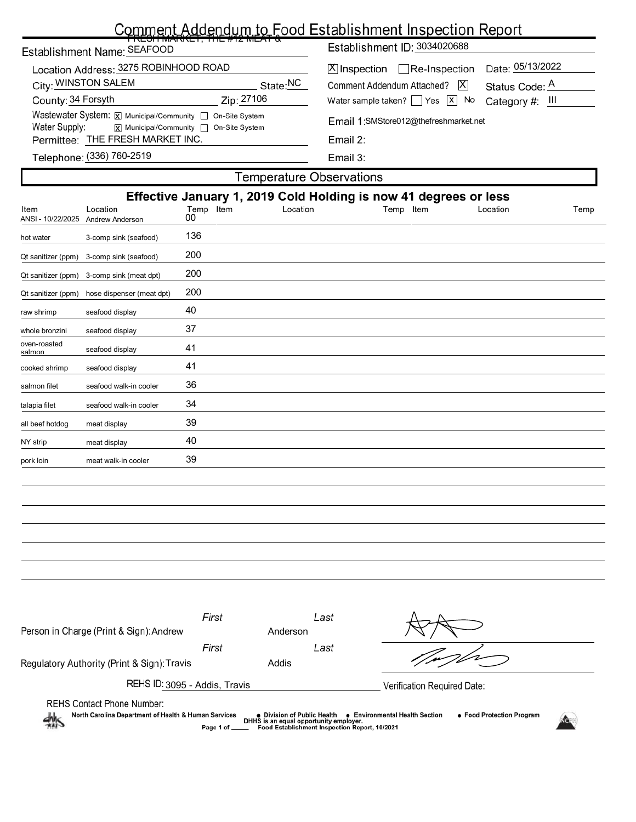## Comment Addendum to Food Establishment Inspection Report

|                           | Establishment Name: SEAFOOD                                                                                                                                                                                                                                                                           | <u>TRESH MARRET, THE #TZ MEAT &amp;</u> |                                                                                                                                                                                                       | Establishment ID: 3034020688                                     |                                                       |      |  |  |  |  |
|---------------------------|-------------------------------------------------------------------------------------------------------------------------------------------------------------------------------------------------------------------------------------------------------------------------------------------------------|-----------------------------------------|-------------------------------------------------------------------------------------------------------------------------------------------------------------------------------------------------------|------------------------------------------------------------------|-------------------------------------------------------|------|--|--|--|--|
|                           | Location Address: 3275 ROBINHOOD ROAD<br>City: WINSTON SALEM<br>State:NC<br>County: 34 Forsyth<br>Zip: 27106<br>Wastewater System: X Municipal/Community   On-Site System<br>Water Supply:<br>X Municipal/Community □ On-Site System<br>Permittee: THE FRESH MARKET INC.<br>Telephone: (336) 760-2519 |                                         | $\Box$ Re-Inspection<br>X Inspection<br>Comment Addendum Attached?<br>Water sample taken?   $\left  \right $ Yes $\left  \right $ No<br>Email 1:SMStore012@thefreshmarket.net<br>Email 2:<br>Email 3: | X                                                                | Date: 05/13/2022<br>Status Code: A<br>Category #: III |      |  |  |  |  |
|                           |                                                                                                                                                                                                                                                                                                       |                                         |                                                                                                                                                                                                       | Temperature Observations                                         |                                                       |      |  |  |  |  |
|                           |                                                                                                                                                                                                                                                                                                       |                                         |                                                                                                                                                                                                       | Effective January 1, 2019 Cold Holding is now 41 degrees or less |                                                       |      |  |  |  |  |
| Item<br>ANSI - 10/22/2025 | Location<br>Andrew Anderson                                                                                                                                                                                                                                                                           | Temp Item<br>00                         | Location                                                                                                                                                                                              | Temp Item                                                        | Location                                              | Temp |  |  |  |  |
| hot water                 | 3-comp sink (seafood)                                                                                                                                                                                                                                                                                 | 136                                     |                                                                                                                                                                                                       |                                                                  |                                                       |      |  |  |  |  |

| Qt sanitizer (ppm)     | 3-comp sink (seafood)     | 200 |
|------------------------|---------------------------|-----|
| Qt sanitizer (ppm)     | 3-comp sink (meat dpt)    | 200 |
| Qt sanitizer (ppm)     | hose dispenser (meat dpt) | 200 |
| raw shrimp             | seafood display           | 40  |
| whole bronzini         | seafood display           | 37  |
| oven-roasted<br>salmon | seafood display           | 41  |
| cooked shrimp          | seafood display           | 41  |
| salmon filet           | seafood walk-in cooler    | 36  |
| talapia filet          | seafood walk-in cooler    | 34  |
| all beef hotdog        | meat display              | 39  |
| NY strip               | meat display              | 40  |
| pork loin              | meat walk-in cooler       | 39  |

| Person in Charge (Print & Sign): Andrew                                                                                                                                                                                                                                                                             | First | Last<br>Anderson |                             |  |  |  |  |
|---------------------------------------------------------------------------------------------------------------------------------------------------------------------------------------------------------------------------------------------------------------------------------------------------------------------|-------|------------------|-----------------------------|--|--|--|--|
|                                                                                                                                                                                                                                                                                                                     | First | Last             |                             |  |  |  |  |
| Regulatory Authority (Print & Sign): Travis                                                                                                                                                                                                                                                                         |       | Addis            |                             |  |  |  |  |
| REHS ID: 3095 - Addis, Travis                                                                                                                                                                                                                                                                                       |       |                  | Verification Required Date: |  |  |  |  |
| <b>REHS Contact Phone Number:</b><br>North Carolina Department of Health & Human Services<br>● Food Protection Program<br>● Environmental Health Section<br>● Division of Public Health<br>DHHS is an equal opportunity employer.<br>$\frac{1}{2}$<br>Food Establishment Inspection Report, 10/2021<br>Page 1 of __ |       |                  |                             |  |  |  |  |